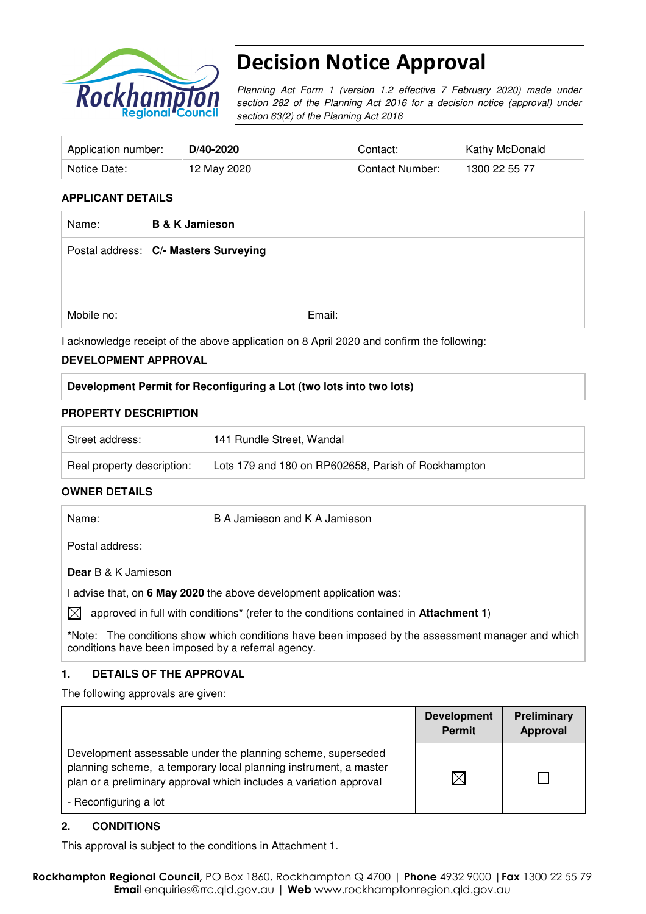

# Decision Notice Approval

Planning Act Form 1 (version 1.2 effective 7 February 2020) made under section 282 of the Planning Act 2016 for a decision notice (approval) under section 63(2) of the Planning Act 2016

| Application number: | D/40-2020   | Contact:               | Kathy McDonald |
|---------------------|-------------|------------------------|----------------|
| Notice Date:        | 12 May 2020 | <b>Contact Number:</b> | 1300 22 55 77  |

#### **APPLICANT DETAILS**

| Name:      | <b>B &amp; K Jamieson</b>                                                                 |
|------------|-------------------------------------------------------------------------------------------|
|            | Postal address: C/- Masters Surveying                                                     |
|            |                                                                                           |
|            |                                                                                           |
| Mobile no: | Email:                                                                                    |
|            | I acknowledge receipt of the above application on 8 April 2020 and confirm the following: |

#### **DEVELOPMENT APPROVAL**

#### **Development Permit for Reconfiguring a Lot (two lots into two lots)**

#### **PROPERTY DESCRIPTION**

| Street address:            | 141 Rundle Street, Wandal                           |
|----------------------------|-----------------------------------------------------|
| Real property description: | Lots 179 and 180 on RP602658, Parish of Rockhampton |

#### **OWNER DETAILS**

| Name:        |                            | B A Jamieson and K A Jamieson                                                                            |
|--------------|----------------------------|----------------------------------------------------------------------------------------------------------|
|              | Postal address:            |                                                                                                          |
|              | <b>Dear</b> B & K Jamieson |                                                                                                          |
|              |                            | I advise that, on 6 May 2020 the above development application was:                                      |
| $\mathbb{X}$ |                            | approved in full with conditions <sup>*</sup> (refer to the conditions contained in <b>Attachment 1)</b> |
|              |                            | *Note: The conditions show which conditions have been imposed by the assessment manager and which        |

#### **1. DETAILS OF THE APPROVAL**

conditions have been imposed by a referral agency.

The following approvals are given:

|                                                                                                                                                                                                        | <b>Development</b><br><b>Permit</b> | <b>Preliminary</b><br>Approval |
|--------------------------------------------------------------------------------------------------------------------------------------------------------------------------------------------------------|-------------------------------------|--------------------------------|
| Development assessable under the planning scheme, superseded<br>planning scheme, a temporary local planning instrument, a master<br>plan or a preliminary approval which includes a variation approval | $\times$                            |                                |
| - Reconfiguring a lot                                                                                                                                                                                  |                                     |                                |

#### **2. CONDITIONS**

This approval is subject to the conditions in Attachment 1.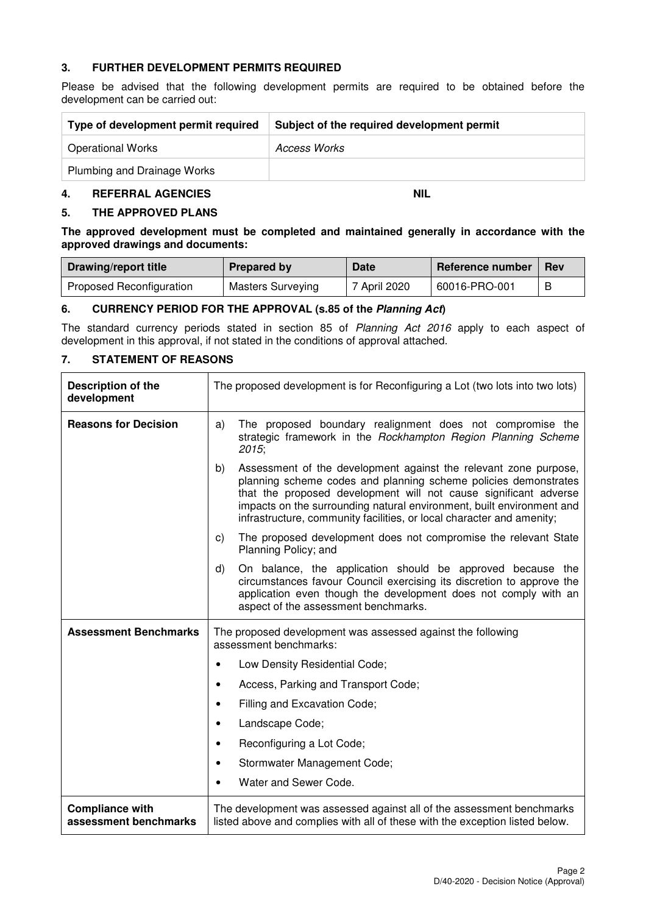#### **3. FURTHER DEVELOPMENT PERMITS REQUIRED**

Please be advised that the following development permits are required to be obtained before the development can be carried out:

| Type of development permit required | Subject of the required development permit |
|-------------------------------------|--------------------------------------------|
| <b>Operational Works</b>            | Access Works                               |
| Plumbing and Drainage Works         |                                            |

#### **4. REFERRAL AGENCIES NIL**

#### **5. THE APPROVED PLANS**

**The approved development must be completed and maintained generally in accordance with the approved drawings and documents:** 

| Drawing/report title     | <b>Prepared by</b> | Date         | <b>Reference number</b> | <b>Rev</b> |
|--------------------------|--------------------|--------------|-------------------------|------------|
| Proposed Reconfiguration | Masters Surveying  | 7 April 2020 | 60016-PRO-001           |            |

#### **6. CURRENCY PERIOD FOR THE APPROVAL (s.85 of the Planning Act)**

The standard currency periods stated in section 85 of Planning Act 2016 apply to each aspect of development in this approval, if not stated in the conditions of approval attached.

#### **7. STATEMENT OF REASONS**

| <b>Description of the</b><br>development        | The proposed development is for Reconfiguring a Lot (two lots into two lots)                                                                                                                                                                                                                                                                                    |  |  |
|-------------------------------------------------|-----------------------------------------------------------------------------------------------------------------------------------------------------------------------------------------------------------------------------------------------------------------------------------------------------------------------------------------------------------------|--|--|
| <b>Reasons for Decision</b>                     | The proposed boundary realignment does not compromise the<br>a)<br>strategic framework in the Rockhampton Region Planning Scheme<br>2015;                                                                                                                                                                                                                       |  |  |
|                                                 | b)<br>Assessment of the development against the relevant zone purpose,<br>planning scheme codes and planning scheme policies demonstrates<br>that the proposed development will not cause significant adverse<br>impacts on the surrounding natural environment, built environment and<br>infrastructure, community facilities, or local character and amenity; |  |  |
|                                                 | The proposed development does not compromise the relevant State<br>C)<br>Planning Policy; and                                                                                                                                                                                                                                                                   |  |  |
|                                                 | d)<br>On balance, the application should be approved because the<br>circumstances favour Council exercising its discretion to approve the<br>application even though the development does not comply with an<br>aspect of the assessment benchmarks.                                                                                                            |  |  |
| <b>Assessment Benchmarks</b>                    | The proposed development was assessed against the following<br>assessment benchmarks:                                                                                                                                                                                                                                                                           |  |  |
|                                                 | Low Density Residential Code;<br>٠                                                                                                                                                                                                                                                                                                                              |  |  |
|                                                 | Access, Parking and Transport Code;<br>$\bullet$                                                                                                                                                                                                                                                                                                                |  |  |
|                                                 | Filling and Excavation Code;<br>$\bullet$                                                                                                                                                                                                                                                                                                                       |  |  |
|                                                 | Landscape Code;<br>$\bullet$                                                                                                                                                                                                                                                                                                                                    |  |  |
|                                                 | Reconfiguring a Lot Code;<br>$\bullet$                                                                                                                                                                                                                                                                                                                          |  |  |
|                                                 | Stormwater Management Code;<br>$\bullet$                                                                                                                                                                                                                                                                                                                        |  |  |
|                                                 | Water and Sewer Code.<br>$\bullet$                                                                                                                                                                                                                                                                                                                              |  |  |
| <b>Compliance with</b><br>assessment benchmarks | The development was assessed against all of the assessment benchmarks<br>listed above and complies with all of these with the exception listed below.                                                                                                                                                                                                           |  |  |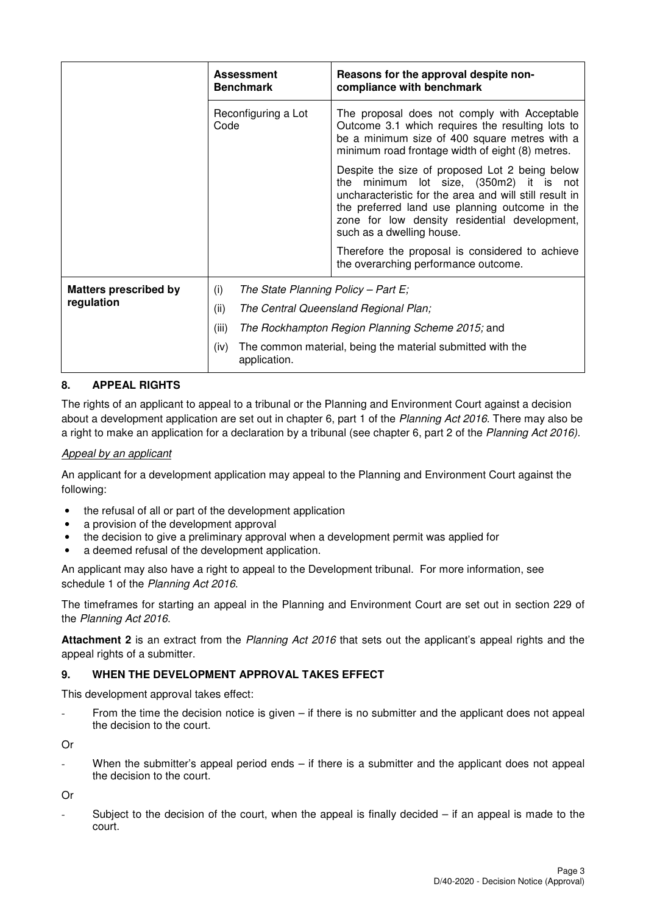|                              | <b>Assessment</b><br><b>Benchmark</b>      | Reasons for the approval despite non-<br>compliance with benchmark                                                                                                                                                                                                                  |
|------------------------------|--------------------------------------------|-------------------------------------------------------------------------------------------------------------------------------------------------------------------------------------------------------------------------------------------------------------------------------------|
|                              | Reconfiguring a Lot<br>Code                | The proposal does not comply with Acceptable<br>Outcome 3.1 which requires the resulting lots to<br>be a minimum size of 400 square metres with a<br>minimum road frontage width of eight (8) metres.                                                                               |
|                              |                                            | Despite the size of proposed Lot 2 being below<br>the minimum lot size, (350m2) it is not<br>uncharacteristic for the area and will still result in<br>the preferred land use planning outcome in the<br>zone for low density residential development,<br>such as a dwelling house. |
|                              |                                            | Therefore the proposal is considered to achieve<br>the overarching performance outcome.                                                                                                                                                                                             |
| <b>Matters prescribed by</b> | The State Planning Policy – Part E;<br>(i) |                                                                                                                                                                                                                                                                                     |
| regulation                   | (ii)                                       | The Central Queensland Regional Plan;                                                                                                                                                                                                                                               |
|                              | (iii)                                      | The Rockhampton Region Planning Scheme 2015; and                                                                                                                                                                                                                                    |
|                              | (iv)<br>application.                       | The common material, being the material submitted with the                                                                                                                                                                                                                          |

#### **8. APPEAL RIGHTS**

The rights of an applicant to appeal to a tribunal or the Planning and Environment Court against a decision about a development application are set out in chapter 6, part 1 of the Planning Act 2016. There may also be a right to make an application for a declaration by a tribunal (see chapter 6, part 2 of the Planning Act 2016).

#### Appeal by an applicant

An applicant for a development application may appeal to the Planning and Environment Court against the following:

- the refusal of all or part of the development application
- a provision of the development approval
- the decision to give a preliminary approval when a development permit was applied for
- a deemed refusal of the development application.

An applicant may also have a right to appeal to the Development tribunal. For more information, see schedule 1 of the Planning Act 2016.

The timeframes for starting an appeal in the Planning and Environment Court are set out in section 229 of the Planning Act 2016.

**Attachment 2** is an extract from the Planning Act 2016 that sets out the applicant's appeal rights and the appeal rights of a submitter.

## **9. WHEN THE DEVELOPMENT APPROVAL TAKES EFFECT**

This development approval takes effect:

From the time the decision notice is given  $-$  if there is no submitter and the applicant does not appeal the decision to the court.

Or

When the submitter's appeal period ends  $-$  if there is a submitter and the applicant does not appeal the decision to the court.

Or

Subject to the decision of the court, when the appeal is finally decided  $-$  if an appeal is made to the court.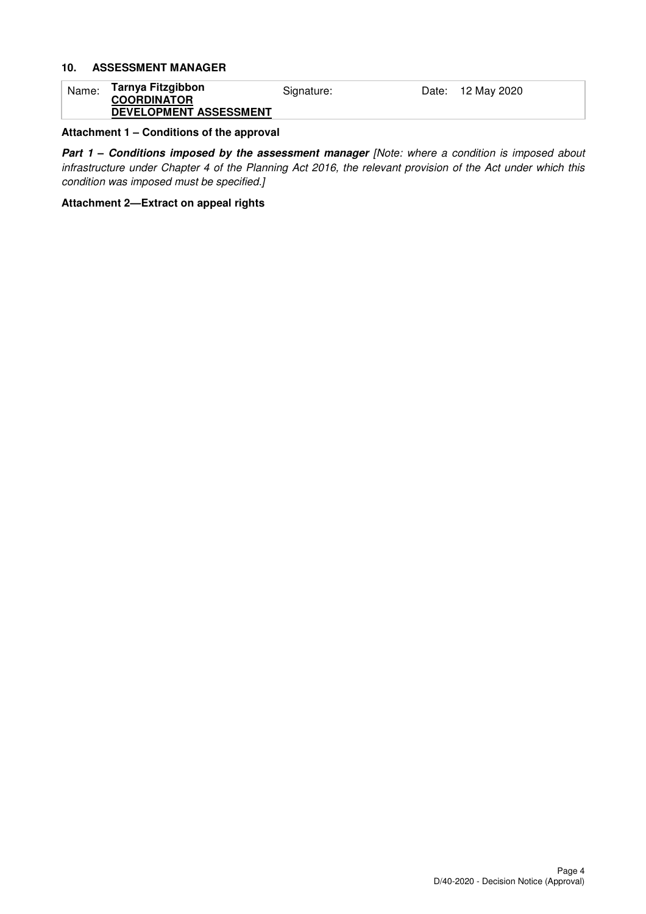### **10. ASSESSMENT MANAGER**

| Name: | Tarnya Fitzgibbon      | Signature: | Date: 12 May 2020 |
|-------|------------------------|------------|-------------------|
|       | <b>COORDINATOR</b>     |            |                   |
|       | DEVELOPMENT ASSESSMENT |            |                   |

#### **Attachment 1 – Conditions of the approval**

**Part 1 - Conditions imposed by the assessment manager [Note: where a condition is imposed about** infrastructure under Chapter 4 of the Planning Act 2016, the relevant provision of the Act under which this condition was imposed must be specified.]

#### **Attachment 2—Extract on appeal rights**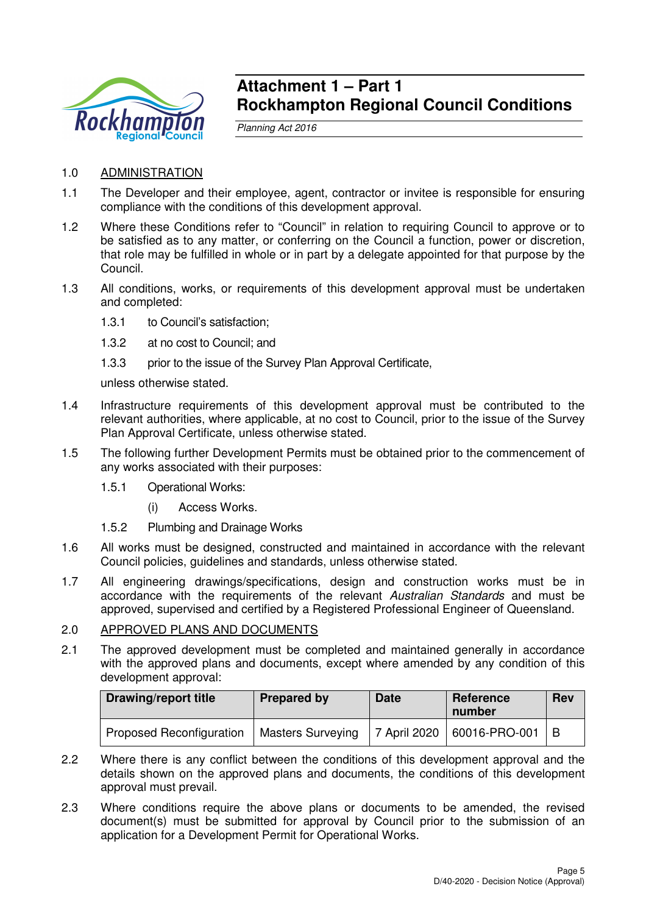

## **Attachment 1 – Part 1 Rockhampton Regional Council Conditions**

Planning Act 2016

- 1.0 ADMINISTRATION
- 1.1 The Developer and their employee, agent, contractor or invitee is responsible for ensuring compliance with the conditions of this development approval.
- 1.2 Where these Conditions refer to "Council" in relation to requiring Council to approve or to be satisfied as to any matter, or conferring on the Council a function, power or discretion, that role may be fulfilled in whole or in part by a delegate appointed for that purpose by the Council.
- 1.3 All conditions, works, or requirements of this development approval must be undertaken and completed:
	- 1.3.1 to Council's satisfaction;
	- 1.3.2 at no cost to Council; and
	- 1.3.3 prior to the issue of the Survey Plan Approval Certificate,

unless otherwise stated.

- 1.4 Infrastructure requirements of this development approval must be contributed to the relevant authorities, where applicable, at no cost to Council, prior to the issue of the Survey Plan Approval Certificate, unless otherwise stated.
- 1.5 The following further Development Permits must be obtained prior to the commencement of any works associated with their purposes:
	- 1.5.1 Operational Works:
		- (i) Access Works.
	- 1.5.2 Plumbing and Drainage Works
- 1.6 All works must be designed, constructed and maintained in accordance with the relevant Council policies, guidelines and standards, unless otherwise stated.
- 1.7 All engineering drawings/specifications, design and construction works must be in accordance with the requirements of the relevant Australian Standards and must be approved, supervised and certified by a Registered Professional Engineer of Queensland.

#### 2.0 APPROVED PLANS AND DOCUMENTS

2.1 The approved development must be completed and maintained generally in accordance with the approved plans and documents, except where amended by any condition of this development approval:

| Drawing/report title            | <b>Prepared by</b>       | <b>Date</b> | Reference<br>number          | <b>Rev</b> |
|---------------------------------|--------------------------|-------------|------------------------------|------------|
| <b>Proposed Reconfiguration</b> | <b>Masters Surveying</b> |             | 7 April 2020   60016-PRO-001 | $\perp$ B  |

- 2.2 Where there is any conflict between the conditions of this development approval and the details shown on the approved plans and documents, the conditions of this development approval must prevail.
- 2.3 Where conditions require the above plans or documents to be amended, the revised document(s) must be submitted for approval by Council prior to the submission of an application for a Development Permit for Operational Works.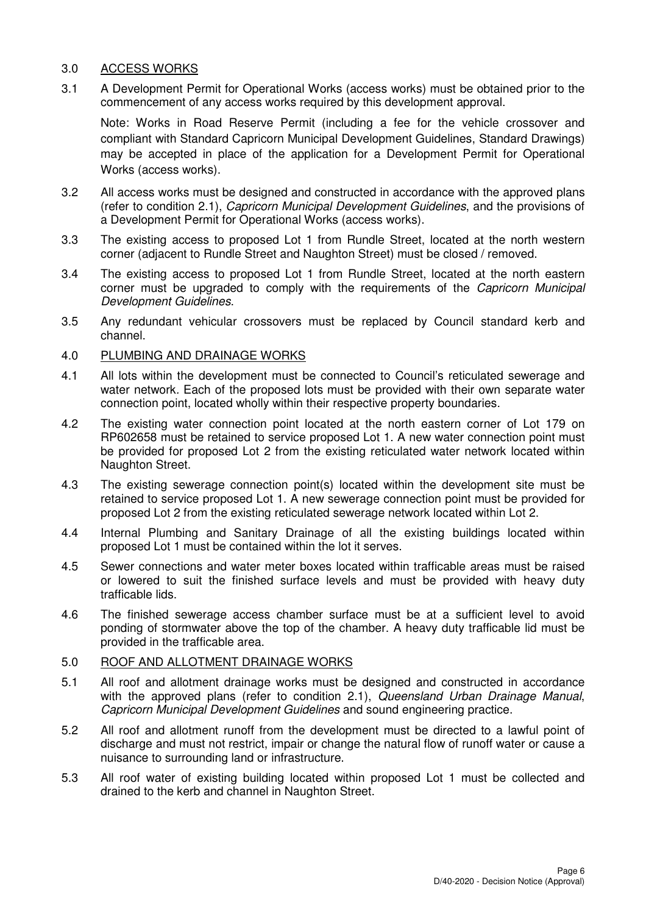#### 3.0 ACCESS WORKS

3.1 A Development Permit for Operational Works (access works) must be obtained prior to the commencement of any access works required by this development approval.

Note: Works in Road Reserve Permit (including a fee for the vehicle crossover and compliant with Standard Capricorn Municipal Development Guidelines, Standard Drawings) may be accepted in place of the application for a Development Permit for Operational Works (access works).

- 3.2 All access works must be designed and constructed in accordance with the approved plans (refer to condition 2.1), Capricorn Municipal Development Guidelines, and the provisions of a Development Permit for Operational Works (access works).
- 3.3 The existing access to proposed Lot 1 from Rundle Street, located at the north western corner (adjacent to Rundle Street and Naughton Street) must be closed / removed.
- 3.4 The existing access to proposed Lot 1 from Rundle Street, located at the north eastern corner must be upgraded to comply with the requirements of the *Capricorn Municipal* Development Guidelines.
- 3.5 Any redundant vehicular crossovers must be replaced by Council standard kerb and channel.

#### 4.0 PLUMBING AND DRAINAGE WORKS

- 4.1 All lots within the development must be connected to Council's reticulated sewerage and water network. Each of the proposed lots must be provided with their own separate water connection point, located wholly within their respective property boundaries.
- 4.2 The existing water connection point located at the north eastern corner of Lot 179 on RP602658 must be retained to service proposed Lot 1. A new water connection point must be provided for proposed Lot 2 from the existing reticulated water network located within Naughton Street.
- 4.3 The existing sewerage connection point(s) located within the development site must be retained to service proposed Lot 1. A new sewerage connection point must be provided for proposed Lot 2 from the existing reticulated sewerage network located within Lot 2.
- 4.4 Internal Plumbing and Sanitary Drainage of all the existing buildings located within proposed Lot 1 must be contained within the lot it serves.
- 4.5 Sewer connections and water meter boxes located within trafficable areas must be raised or lowered to suit the finished surface levels and must be provided with heavy duty trafficable lids.
- 4.6 The finished sewerage access chamber surface must be at a sufficient level to avoid ponding of stormwater above the top of the chamber. A heavy duty trafficable lid must be provided in the trafficable area.

#### 5.0 ROOF AND ALLOTMENT DRAINAGE WORKS

- 5.1 All roof and allotment drainage works must be designed and constructed in accordance with the approved plans (refer to condition 2.1), Queensland Urban Drainage Manual, Capricorn Municipal Development Guidelines and sound engineering practice.
- 5.2 All roof and allotment runoff from the development must be directed to a lawful point of discharge and must not restrict, impair or change the natural flow of runoff water or cause a nuisance to surrounding land or infrastructure.
- 5.3 All roof water of existing building located within proposed Lot 1 must be collected and drained to the kerb and channel in Naughton Street.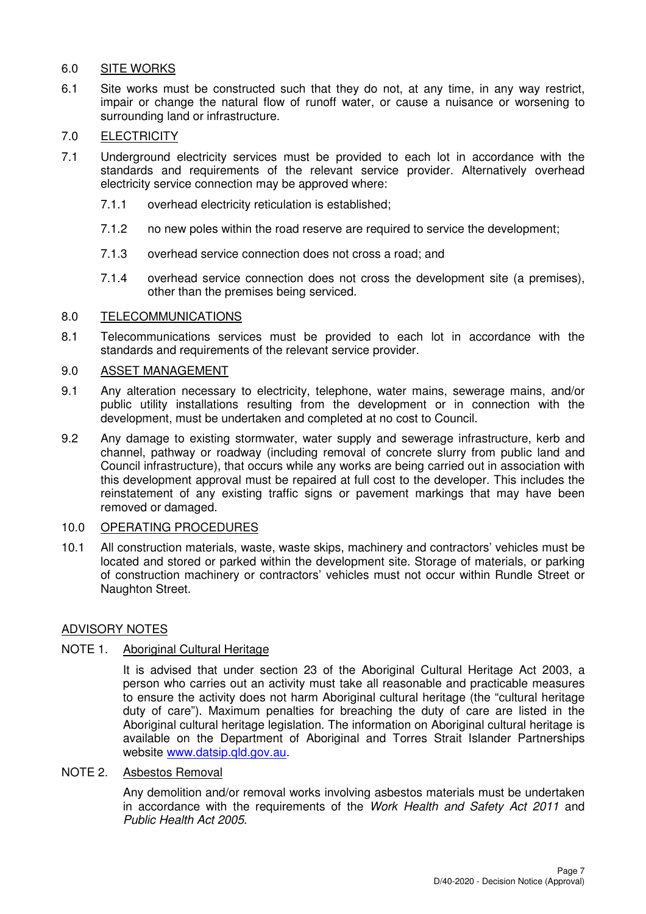### 6.0 SITE WORKS

6.1 Site works must be constructed such that they do not, at any time, in any way restrict, impair or change the natural flow of runoff water, or cause a nuisance or worsening to surrounding land or infrastructure.

## 7.0 ELECTRICITY

- 7.1 Underground electricity services must be provided to each lot in accordance with the standards and requirements of the relevant service provider. Alternatively overhead electricity service connection may be approved where:
	- 7.1.1 overhead electricity reticulation is established;
	- 7.1.2 no new poles within the road reserve are required to service the development;
	- 7.1.3 overhead service connection does not cross a road; and
	- 7.1.4 overhead service connection does not cross the development site (a premises), other than the premises being serviced.

#### 8.0 TELECOMMUNICATIONS

8.1 Telecommunications services must be provided to each lot in accordance with the standards and requirements of the relevant service provider.

#### 9.0 ASSET MANAGEMENT

- 9.1 Any alteration necessary to electricity, telephone, water mains, sewerage mains, and/or public utility installations resulting from the development or in connection with the development, must be undertaken and completed at no cost to Council.
- 9.2 Any damage to existing stormwater, water supply and sewerage infrastructure, kerb and channel, pathway or roadway (including removal of concrete slurry from public land and Council infrastructure), that occurs while any works are being carried out in association with this development approval must be repaired at full cost to the developer. This includes the reinstatement of any existing traffic signs or pavement markings that may have been removed or damaged.

#### 10.0 OPERATING PROCEDURES

10.1 All construction materials, waste, waste skips, machinery and contractors' vehicles must be located and stored or parked within the development site. Storage of materials, or parking of construction machinery or contractors' vehicles must not occur within Rundle Street or Naughton Street.

#### ADVISORY NOTES

#### NOTE 1. Aboriginal Cultural Heritage

It is advised that under section 23 of the Aboriginal Cultural Heritage Act 2003, a person who carries out an activity must take all reasonable and practicable measures to ensure the activity does not harm Aboriginal cultural heritage (the "cultural heritage duty of care"). Maximum penalties for breaching the duty of care are listed in the Aboriginal cultural heritage legislation. The information on Aboriginal cultural heritage is available on the Department of Aboriginal and Torres Strait Islander Partnerships website www.datsip.qld.gov.au.

#### NOTE 2. Asbestos Removal

Any demolition and/or removal works involving asbestos materials must be undertaken in accordance with the requirements of the Work Health and Safety Act 2011 and Public Health Act 2005.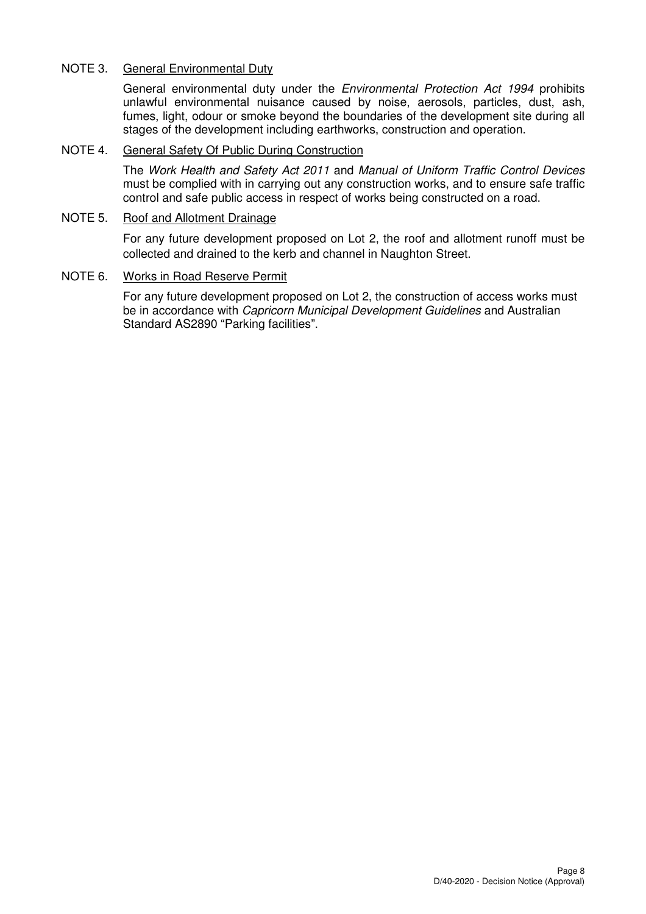### NOTE 3. General Environmental Duty

General environmental duty under the Environmental Protection Act 1994 prohibits unlawful environmental nuisance caused by noise, aerosols, particles, dust, ash, fumes, light, odour or smoke beyond the boundaries of the development site during all stages of the development including earthworks, construction and operation.

### NOTE 4. General Safety Of Public During Construction

The Work Health and Safety Act 2011 and Manual of Uniform Traffic Control Devices must be complied with in carrying out any construction works, and to ensure safe traffic control and safe public access in respect of works being constructed on a road.

#### NOTE 5. Roof and Allotment Drainage

For any future development proposed on Lot 2, the roof and allotment runoff must be collected and drained to the kerb and channel in Naughton Street.

#### NOTE 6. Works in Road Reserve Permit

For any future development proposed on Lot 2, the construction of access works must be in accordance with Capricorn Municipal Development Guidelines and Australian Standard AS2890 "Parking facilities".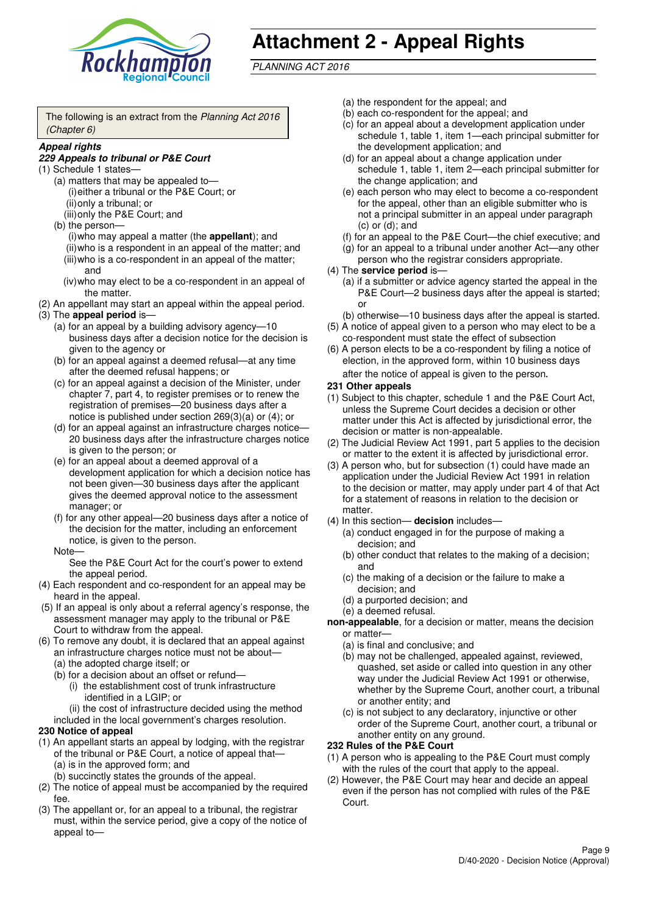

# **Attachment 2 - Appeal Rights**

PLANNING ACT 2016

The following is an extract from the Planning Act 2016 (Chapter 6)

#### **Appeal rights**

#### **229 Appeals to tribunal or P&E Court**

- (1) Schedule 1 states—
	- (a) matters that may be appealed to— (i) either a tribunal or the P&E Court; or (ii) only a tribunal; or
	- (iii) only the P&E Court; and (b) the person—
		- (i) who may appeal a matter (the **appellant**); and (ii) who is a respondent in an appeal of the matter; and (iii) who is a co-respondent in an appeal of the matter; and
		- (iv) who may elect to be a co-respondent in an appeal of the matter.
- (2) An appellant may start an appeal within the appeal period.
- (3) The **appeal period** is—
	- (a) for an appeal by a building advisory agency—10 business days after a decision notice for the decision is given to the agency or
	- (b) for an appeal against a deemed refusal—at any time after the deemed refusal happens; or
	- (c) for an appeal against a decision of the Minister, under chapter 7, part 4, to register premises or to renew the registration of premises—20 business days after a notice is published under section 269(3)(a) or (4); or
	- (d) for an appeal against an infrastructure charges notice— 20 business days after the infrastructure charges notice is given to the person; or
	- (e) for an appeal about a deemed approval of a development application for which a decision notice has not been given—30 business days after the applicant gives the deemed approval notice to the assessment manager; or
	- (f) for any other appeal—20 business days after a notice of the decision for the matter, including an enforcement notice, is given to the person.

#### Note—

See the P&E Court Act for the court's power to extend the appeal period.

- (4) Each respondent and co-respondent for an appeal may be heard in the appeal.
- (5) If an appeal is only about a referral agency's response, the assessment manager may apply to the tribunal or P&E Court to withdraw from the appeal.
- (6) To remove any doubt, it is declared that an appeal against an infrastructure charges notice must not be about—
	- (a) the adopted charge itself; or
	- (b) for a decision about an offset or refund—
		- (i) the establishment cost of trunk infrastructure identified in a LGIP; or
		- (ii) the cost of infrastructure decided using the method
	- included in the local government's charges resolution.

#### **230 Notice of appeal**

- (1) An appellant starts an appeal by lodging, with the registrar of the tribunal or P&E Court, a notice of appeal that—
	- (a) is in the approved form; and
	- (b) succinctly states the grounds of the appeal.
- (2) The notice of appeal must be accompanied by the required fee.
- (3) The appellant or, for an appeal to a tribunal, the registrar must, within the service period, give a copy of the notice of appeal to—
- (a) the respondent for the appeal; and
- (b) each co-respondent for the appeal; and
- (c) for an appeal about a development application under schedule 1, table 1, item 1—each principal submitter for the development application; and
- (d) for an appeal about a change application under schedule 1, table 1, item 2—each principal submitter for the change application; and
- (e) each person who may elect to become a co-respondent for the appeal, other than an eligible submitter who is not a principal submitter in an appeal under paragraph  $(c)$  or  $(d)$ ; and
- (f) for an appeal to the P&E Court—the chief executive; and
- (g) for an appeal to a tribunal under another Act—any other person who the registrar considers appropriate.
- (4) The **service period** is—
	- (a) if a submitter or advice agency started the appeal in the P&E Court-2 business days after the appeal is started; or
	- (b) otherwise—10 business days after the appeal is started.
- (5) A notice of appeal given to a person who may elect to be a co-respondent must state the effect of subsection
- (6) A person elects to be a co-respondent by filing a notice of election, in the approved form, within 10 business days after the notice of appeal is given to the person*.*
- **231 Other appeals**
- (1) Subject to this chapter, schedule 1 and the P&E Court Act, unless the Supreme Court decides a decision or other matter under this Act is affected by jurisdictional error, the decision or matter is non-appealable.
- (2) The Judicial Review Act 1991, part 5 applies to the decision or matter to the extent it is affected by jurisdictional error.
- (3) A person who, but for subsection (1) could have made an application under the Judicial Review Act 1991 in relation to the decision or matter, may apply under part 4 of that Act for a statement of reasons in relation to the decision or matter.
- (4) In this section— **decision** includes—
	- (a) conduct engaged in for the purpose of making a decision; and
	- (b) other conduct that relates to the making of a decision; and
	- (c) the making of a decision or the failure to make a decision; and
	- (d) a purported decision; and
	- (e) a deemed refusal.

**non-appealable**, for a decision or matter, means the decision or matter—

- (a) is final and conclusive; and
- (b) may not be challenged, appealed against, reviewed, quashed, set aside or called into question in any other way under the Judicial Review Act 1991 or otherwise, whether by the Supreme Court, another court, a tribunal or another entity; and
- (c) is not subject to any declaratory, injunctive or other order of the Supreme Court, another court, a tribunal or another entity on any ground.

#### **232 Rules of the P&E Court**

- (1) A person who is appealing to the P&E Court must comply with the rules of the court that apply to the appeal.
- (2) However, the P&E Court may hear and decide an appeal even if the person has not complied with rules of the P&E Court.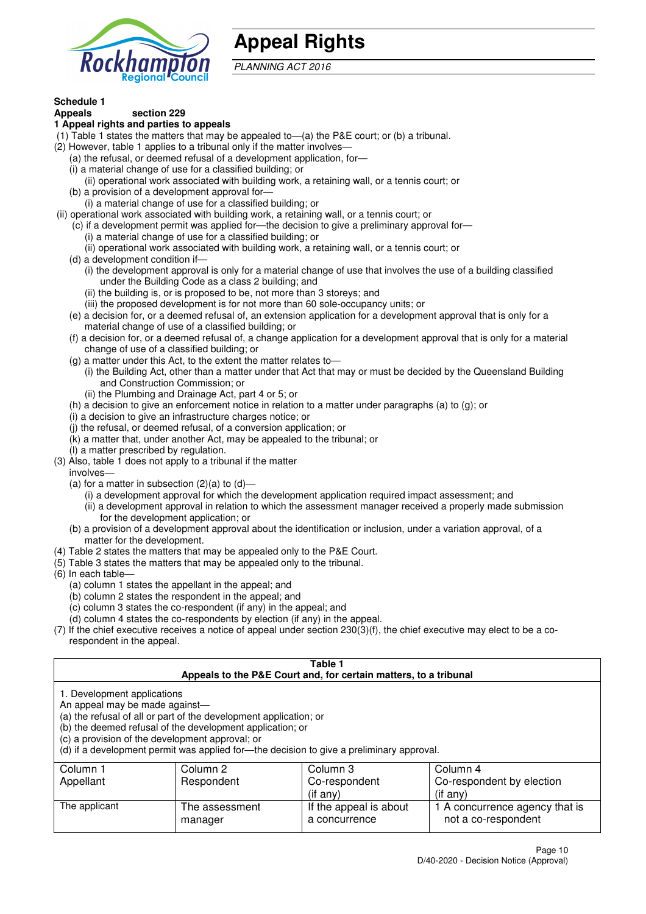

## **Appeal Rights**

PLANNING ACT 2016

## **Schedule 1**

#### **Appeals section 229 1 Appeal rights and parties to appeals**

- (1) Table 1 states the matters that may be appealed to—(a) the P&E court; or (b) a tribunal.
- (2) However, table 1 applies to a tribunal only if the matter involves—
	- (a) the refusal, or deemed refusal of a development application, for—
	- (i) a material change of use for a classified building; or
	- (ii) operational work associated with building work, a retaining wall, or a tennis court; or
	- (b) a provision of a development approval for—
	- (i) a material change of use for a classified building; or
- (ii) operational work associated with building work, a retaining wall, or a tennis court; or
	- (c) if a development permit was applied for—the decision to give a preliminary approval for— (i) a material change of use for a classified building; or
	- (ii) operational work associated with building work, a retaining wall, or a tennis court; or
	- (d) a development condition if—
		- (i) the development approval is only for a material change of use that involves the use of a building classified under the Building Code as a class 2 building; and
		- (ii) the building is, or is proposed to be, not more than 3 storeys; and
		- (iii) the proposed development is for not more than 60 sole-occupancy units; or
	- (e) a decision for, or a deemed refusal of, an extension application for a development approval that is only for a material change of use of a classified building; or
	- (f) a decision for, or a deemed refusal of, a change application for a development approval that is only for a material change of use of a classified building; or
	- (g) a matter under this Act, to the extent the matter relates to—
		- (i) the Building Act, other than a matter under that Act that may or must be decided by the Queensland Building and Construction Commission; or
		- (ii) the Plumbing and Drainage Act, part 4 or 5; or
	- (h) a decision to give an enforcement notice in relation to a matter under paragraphs (a) to (g); or
	- (i) a decision to give an infrastructure charges notice; or
	- (j) the refusal, or deemed refusal, of a conversion application; or
	- (k) a matter that, under another Act, may be appealed to the tribunal; or
	- (l) a matter prescribed by regulation.
- (3) Also, table 1 does not apply to a tribunal if the matter

involves—

- (a) for a matter in subsection  $(2)(a)$  to  $(d)$ 
	- (i) a development approval for which the development application required impact assessment; and
	- (ii) a development approval in relation to which the assessment manager received a properly made submission for the development application; or
- (b) a provision of a development approval about the identification or inclusion, under a variation approval, of a matter for the development.
- (4) Table 2 states the matters that may be appealed only to the P&E Court.
- (5) Table 3 states the matters that may be appealed only to the tribunal.
- (6) In each table—
	- (a) column 1 states the appellant in the appeal; and
	- (b) column 2 states the respondent in the appeal; and
	- (c) column 3 states the co-respondent (if any) in the appeal; and
	- (d) column 4 states the co-respondents by election (if any) in the appeal.
- (7) If the chief executive receives a notice of appeal under section 230(3)(f), the chief executive may elect to be a corespondent in the appeal.

| Table 1<br>Appeals to the P&E Court and, for certain matters, to a tribunal                                                                                                                                                                                                                                                                    |                                                          |          |          |  |  |
|------------------------------------------------------------------------------------------------------------------------------------------------------------------------------------------------------------------------------------------------------------------------------------------------------------------------------------------------|----------------------------------------------------------|----------|----------|--|--|
| 1. Development applications<br>An appeal may be made against-<br>(a) the refusal of all or part of the development application; or<br>(b) the deemed refusal of the development application; or<br>(c) a provision of the development approval; or<br>(d) if a development permit was applied for—the decision to give a preliminary approval. |                                                          |          |          |  |  |
| Column 1                                                                                                                                                                                                                                                                                                                                       | Column 2                                                 | Column 3 | Column 4 |  |  |
| Appellant                                                                                                                                                                                                                                                                                                                                      | Co-respondent by election<br>Respondent<br>Co-respondent |          |          |  |  |
| $($ if any $)$<br>(if any)                                                                                                                                                                                                                                                                                                                     |                                                          |          |          |  |  |
| If the appeal is about<br>The applicant<br>1 A concurrence agency that is<br>The assessment<br>not a co-respondent<br>a concurrence<br>manager                                                                                                                                                                                                 |                                                          |          |          |  |  |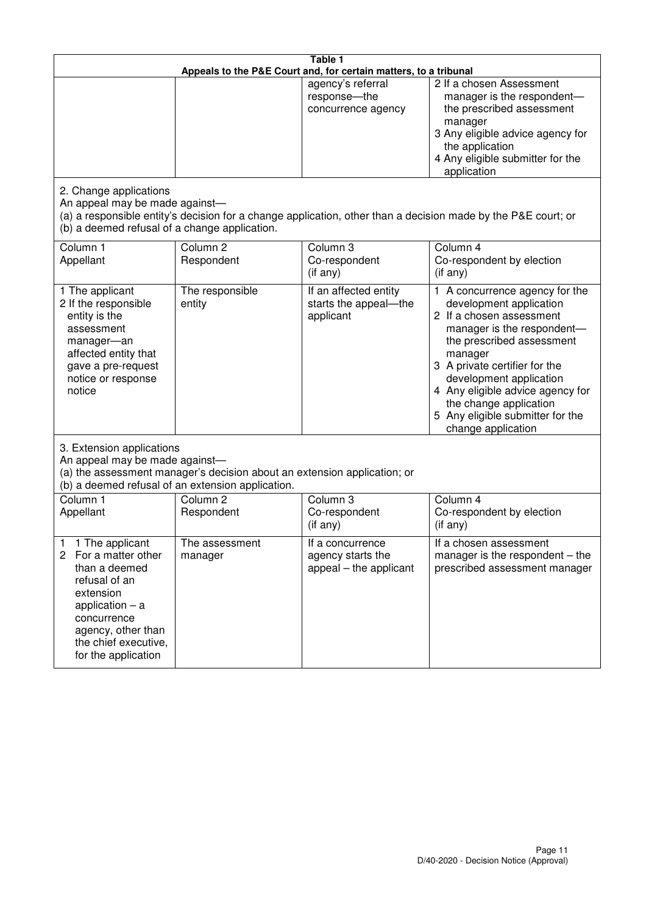| Table 1<br>Appeals to the P&E Court and, for certain matters, to a tribunal                                                                                                                             |                                   |                                                                 |                                                                                                                                                                                                                                                                                                                                                 |  |
|---------------------------------------------------------------------------------------------------------------------------------------------------------------------------------------------------------|-----------------------------------|-----------------------------------------------------------------|-------------------------------------------------------------------------------------------------------------------------------------------------------------------------------------------------------------------------------------------------------------------------------------------------------------------------------------------------|--|
|                                                                                                                                                                                                         |                                   | agency's referral<br>response-the<br>concurrence agency         | 2 If a chosen Assessment<br>manager is the respondent-<br>the prescribed assessment<br>manager<br>3 Any eligible advice agency for<br>the application<br>4 Any eligible submitter for the<br>application                                                                                                                                        |  |
| 2. Change applications<br>An appeal may be made against-<br>(b) a deemed refusal of a change application.                                                                                               |                                   |                                                                 | (a) a responsible entity's decision for a change application, other than a decision made by the P&E court; or                                                                                                                                                                                                                                   |  |
| Column 1<br>Appellant                                                                                                                                                                                   | Column <sub>2</sub><br>Respondent | Column 3<br>Co-respondent<br>$($ if any $)$                     | Column 4<br>Co-respondent by election<br>$(if$ any)                                                                                                                                                                                                                                                                                             |  |
| 1 The applicant<br>2 If the responsible<br>entity is the<br>assessment<br>manager-an<br>affected entity that<br>gave a pre-request<br>notice or response<br>notice                                      | The responsible<br>entity         | If an affected entity<br>starts the appeal-the<br>applicant     | 1 A concurrence agency for the<br>development application<br>2 If a chosen assessment<br>manager is the respondent-<br>the prescribed assessment<br>manager<br>3 A private certifier for the<br>development application<br>4 Any eligible advice agency for<br>the change application<br>5 Any eligible submitter for the<br>change application |  |
| 3. Extension applications<br>An appeal may be made against-<br>(a) the assessment manager's decision about an extension application; or<br>(b) a deemed refusal of an extension application.            |                                   |                                                                 |                                                                                                                                                                                                                                                                                                                                                 |  |
| Column 1<br>Appellant                                                                                                                                                                                   | Column <sub>2</sub><br>Respondent | Column 3<br>Co-respondent<br>(if any)                           | Column $\overline{4}$<br>Co-respondent by election<br>(if any)                                                                                                                                                                                                                                                                                  |  |
| 1 The applicant<br>1<br>2<br>For a matter other<br>than a deemed<br>refusal of an<br>extension<br>application $-$ a<br>concurrence<br>agency, other than<br>the chief executive,<br>for the application | The assessment<br>manager         | If a concurrence<br>agency starts the<br>appeal – the applicant | If a chosen assessment<br>manager is the respondent $-$ the<br>prescribed assessment manager                                                                                                                                                                                                                                                    |  |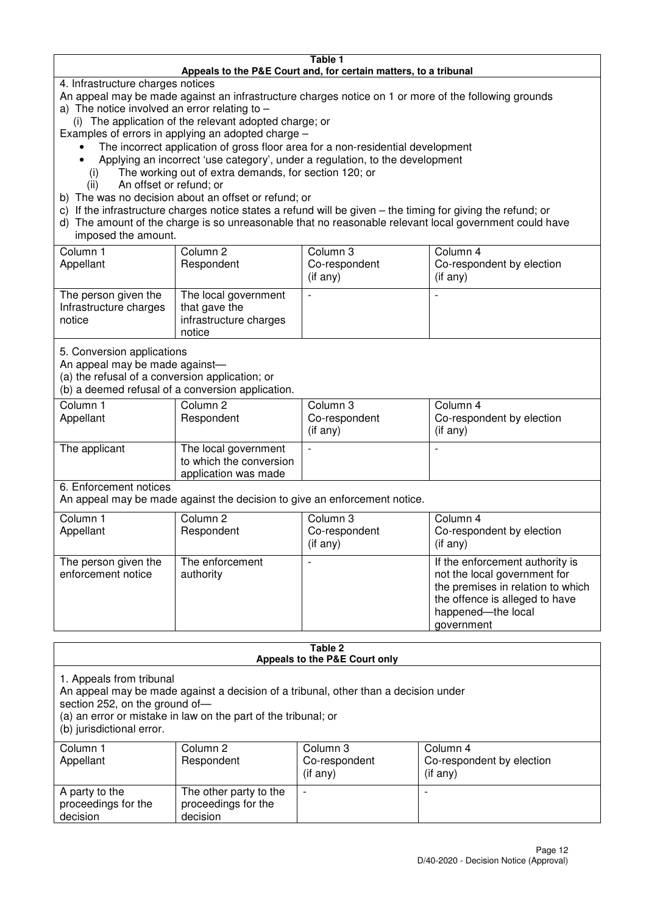#### **Table 1 Appeals to the P&E Court and, for certain matters, to a tribunal**

4. Infrastructure charges notices

- An appeal may be made against an infrastructure charges notice on 1 or more of the following grounds
- a) The notice involved an error relating to
	- (i) The application of the relevant adopted charge; or
- Examples of errors in applying an adopted charge
	- The incorrect application of gross floor area for a non-residential development
	- Applying an incorrect 'use category', under a regulation, to the development
	- (i) The working out of extra demands, for section 120; or
	- (ii) An offset or refund; or
- b) The was no decision about an offset or refund; or
- c) If the infrastructure charges notice states a refund will be given the timing for giving the refund; or
- d) The amount of the charge is so unreasonable that no reasonable relevant local government could have

#### imposed the amount.

| Column 1<br>Appellant                                    | Column 2<br>Respondent                                                    | Column 3<br>Co-respondent<br>(if any) | Column 4<br>Co-respondent by election<br>$($ if any $)$ |
|----------------------------------------------------------|---------------------------------------------------------------------------|---------------------------------------|---------------------------------------------------------|
| The person given the<br>Infrastructure charges<br>notice | The local government<br>that gave the<br>infrastructure charges<br>notice |                                       |                                                         |

5. Conversion applications

An appeal may be made against—

(a) the refusal of a conversion application; or

(b) a deemed refusal of a conversion application.

| Column 1<br>Appellant | Column 2<br>Respondent                                                  | Column 3<br>Co-respondent<br>$($ if any $)$ | Column 4<br>Co-respondent by election<br>$($ if any $)$ |
|-----------------------|-------------------------------------------------------------------------|---------------------------------------------|---------------------------------------------------------|
| The applicant         | The local government<br>to which the conversion<br>application was made |                                             |                                                         |

6. Enforcement notices

An appeal may be made against the decision to give an enforcement notice.

| Column 1<br>Appellant                      | Column 2<br>Respondent       | Column 3<br>Co-respondent<br>$($ if any $)$ | Column 4<br>Co-respondent by election<br>$($ if any $)$                                                                                                                    |
|--------------------------------------------|------------------------------|---------------------------------------------|----------------------------------------------------------------------------------------------------------------------------------------------------------------------------|
| The person given the<br>enforcement notice | The enforcement<br>authority |                                             | If the enforcement authority is<br>not the local government for<br>the premises in relation to which<br>the offence is alleged to have<br>happened-the local<br>government |

#### **Table 2 Appeals to the P&E Court only**

1. Appeals from tribunal

An appeal may be made against a decision of a tribunal, other than a decision under

section 252, on the ground of-

(a) an error or mistake in law on the part of the tribunal; or

(b) jurisdictional error.

| Column 1<br>Appellant                             | Column 2<br>Respondent                                    | Column 3<br>Co-respondent<br>$($ if any $)$ | Column 4<br>Co-respondent by election<br>(i f any) |
|---------------------------------------------------|-----------------------------------------------------------|---------------------------------------------|----------------------------------------------------|
| A party to the<br>proceedings for the<br>decision | The other party to the<br>proceedings for the<br>decision | $\overline{\phantom{0}}$                    |                                                    |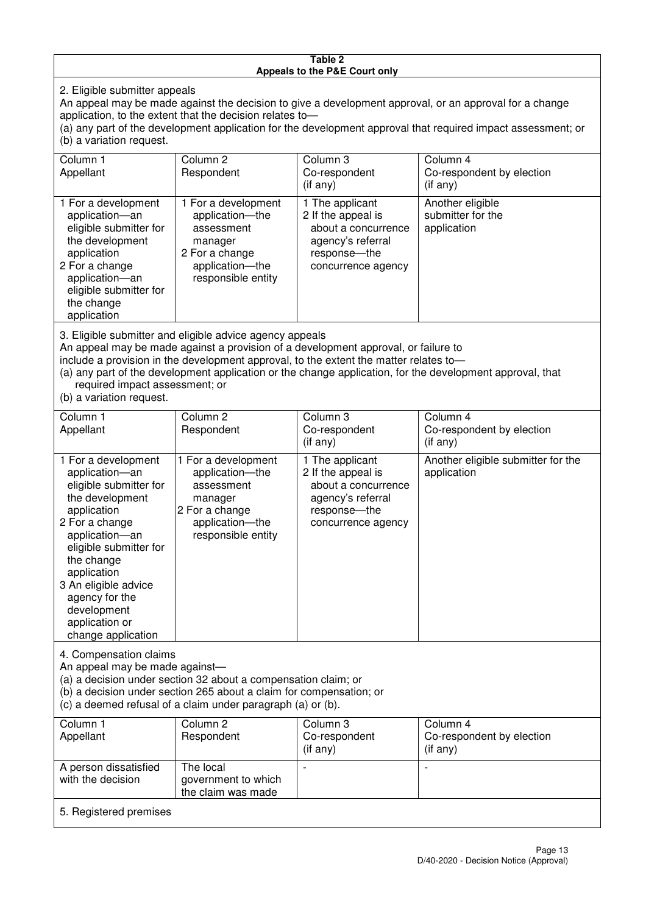#### **Table 2 Appeals to the P&E Court only**

2. Eligible submitter appeals

An appeal may be made against the decision to give a development approval, or an approval for a change application, to the extent that the decision relates to—

(a) any part of the development application for the development approval that required impact assessment; or (b) a variation request.

| Column 1<br>Appellant                                                                                                                                                                                                                                                                                                                                     | Column 2<br>Respondent                                                                                                     | Column 3<br>Co-respondent<br>$(i$ f any)                                                                                  | Column 4<br>Co-respondent by election<br>(i f any)   |  |
|-----------------------------------------------------------------------------------------------------------------------------------------------------------------------------------------------------------------------------------------------------------------------------------------------------------------------------------------------------------|----------------------------------------------------------------------------------------------------------------------------|---------------------------------------------------------------------------------------------------------------------------|------------------------------------------------------|--|
| 1 For a development<br>application-an<br>eligible submitter for<br>the development<br>application<br>2 For a change<br>application-an<br>eligible submitter for<br>the change<br>application                                                                                                                                                              | 1 For a development<br>application-the<br>assessment<br>manager<br>2 For a change<br>application-the<br>responsible entity | 1 The applicant<br>2 If the appeal is<br>about a concurrence<br>agency's referral<br>response---the<br>concurrence agency | Another eligible<br>submitter for the<br>application |  |
| 3. Eligible submitter and eligible advice agency appeals<br>An appeal may be made against a provision of a development approval, or failure to<br>include a provision in the development approval, to the extent the matter relates to-<br>$\alpha$ any part of the development epplication or the change epplication, for the development eppreval, that |                                                                                                                            |                                                                                                                           |                                                      |  |

(a) any part of the development application or the change application, for the development approval, that required impact assessment; or

(b) a variation request.

| Column 1                                                                                                                                                                                                                                                                                      | Column <sub>2</sub>                                                                                                        | Column 3                                                                                                                 | Column 4                                          |  |
|-----------------------------------------------------------------------------------------------------------------------------------------------------------------------------------------------------------------------------------------------------------------------------------------------|----------------------------------------------------------------------------------------------------------------------------|--------------------------------------------------------------------------------------------------------------------------|---------------------------------------------------|--|
| Appellant                                                                                                                                                                                                                                                                                     | Respondent                                                                                                                 | Co-respondent                                                                                                            | Co-respondent by election                         |  |
|                                                                                                                                                                                                                                                                                               |                                                                                                                            | $($ if any $)$                                                                                                           | (if any)                                          |  |
| 1 For a development<br>application-an<br>eligible submitter for<br>the development<br>application<br>2 For a change<br>application-an<br>eligible submitter for<br>the change<br>application<br>3 An eligible advice<br>agency for the<br>development<br>application or<br>change application | 1 For a development<br>application-the<br>assessment<br>manager<br>2 For a change<br>application-the<br>responsible entity | 1 The applicant<br>2 If the appeal is<br>about a concurrence<br>agency's referral<br>response--the<br>concurrence agency | Another eligible submitter for the<br>application |  |
| 4. Compensation claims<br>An appeal may be made against-<br>(a) a decision under section 32 about a compensation claim; or<br>(b) a decision under section 265 about a claim for compensation; or<br>(c) a deemed refusal of a claim under paragraph (a) or (b).                              |                                                                                                                            |                                                                                                                          |                                                   |  |
| Column 1<br>Appellant                                                                                                                                                                                                                                                                         | Column <sub>2</sub><br>Respondent                                                                                          | Column 3<br>Co-respondent                                                                                                | Column 4<br>Co-respondent by election             |  |
|                                                                                                                                                                                                                                                                                               |                                                                                                                            | $($ if any $)$                                                                                                           | (if any)                                          |  |

| Appellant                                  | Respondent                                             | Co-respondent<br>(if any) | Co-respondent by election<br>$($ if any $)$ |
|--------------------------------------------|--------------------------------------------------------|---------------------------|---------------------------------------------|
| A person dissatisfied<br>with the decision | The local<br>government to which<br>the claim was made |                           |                                             |
| 5. Registered premises                     |                                                        |                           |                                             |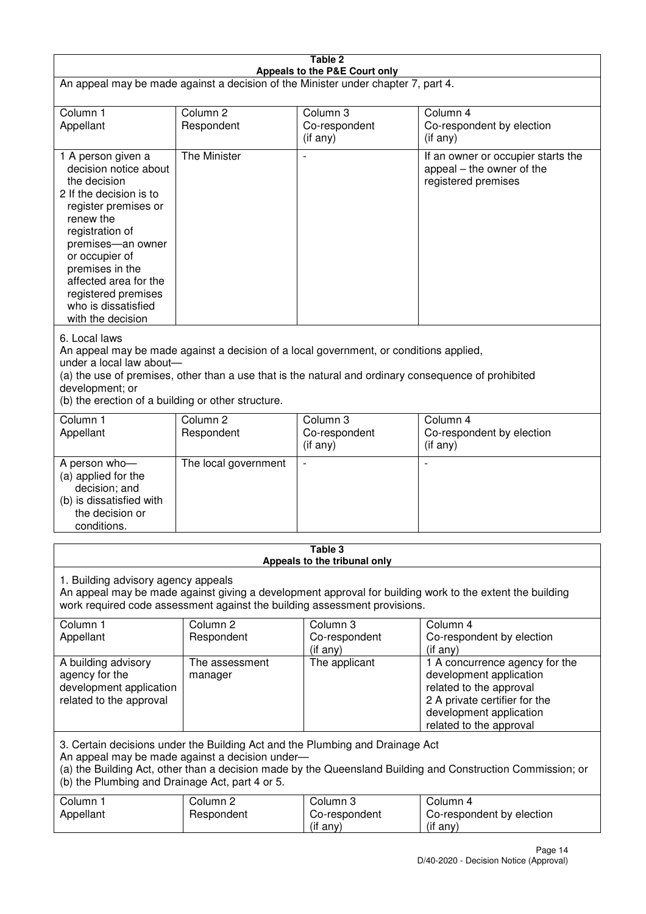| Table 2<br>Appeals to the P&E Court only                                                                                                                                                                                                                                                                             |                                   |                                         |                                                                                                                                                                             |  |
|----------------------------------------------------------------------------------------------------------------------------------------------------------------------------------------------------------------------------------------------------------------------------------------------------------------------|-----------------------------------|-----------------------------------------|-----------------------------------------------------------------------------------------------------------------------------------------------------------------------------|--|
| An appeal may be made against a decision of the Minister under chapter 7, part 4.                                                                                                                                                                                                                                    |                                   |                                         |                                                                                                                                                                             |  |
| Column 1<br>Appellant                                                                                                                                                                                                                                                                                                | Column <sub>2</sub><br>Respondent | Column 3<br>Co-respondent<br>(if any)   | Column 4<br>Co-respondent by election<br>$($ if any $)$                                                                                                                     |  |
| 1 A person given a<br>decision notice about<br>the decision<br>2 If the decision is to<br>register premises or<br>renew the<br>registration of<br>premises-an owner<br>or occupier of<br>premises in the<br>affected area for the<br>registered premises<br>who is dissatisfied<br>with the decision                 | The Minister                      |                                         | If an owner or occupier starts the<br>appeal – the owner of the<br>registered premises                                                                                      |  |
| 6. Local laws<br>An appeal may be made against a decision of a local government, or conditions applied,<br>under a local law about-<br>(a) the use of premises, other than a use that is the natural and ordinary consequence of prohibited<br>development; or<br>(b) the erection of a building or other structure. |                                   |                                         |                                                                                                                                                                             |  |
| Column 1<br>Appellant                                                                                                                                                                                                                                                                                                | Column <sub>2</sub><br>Respondent | Column 3<br>Co-respondent<br>(if any)   | Column 4<br>Co-respondent by election<br>(if any)                                                                                                                           |  |
| A person who-<br>(a) applied for the<br>decision; and<br>(b) is dissatisfied with<br>the decision or<br>conditions.                                                                                                                                                                                                  | The local government              | $\overline{\phantom{a}}$                |                                                                                                                                                                             |  |
|                                                                                                                                                                                                                                                                                                                      |                                   | Table 3<br>Appeals to the tribunal only |                                                                                                                                                                             |  |
| 1. Building advisory agency appeals<br>An appeal may be made against giving a development approval for building work to the extent the building<br>work required code assessment against the building assessment provisions.                                                                                         |                                   |                                         |                                                                                                                                                                             |  |
| Column 1<br>Appellant                                                                                                                                                                                                                                                                                                | Column <sub>2</sub><br>Respondent | Column 3<br>Co-respondent<br>(if any)   | Column 4<br>Co-respondent by election<br>(if any)                                                                                                                           |  |
| A building advisory<br>agency for the<br>development application<br>related to the approval                                                                                                                                                                                                                          | The assessment<br>manager         | The applicant                           | 1 A concurrence agency for the<br>development application<br>related to the approval<br>2 A private certifier for the<br>development application<br>related to the approval |  |
| 3. Certain decisions under the Building Act and the Plumbing and Drainage Act<br>An appeal may be made against a decision under-<br>(a) the Building Act, other than a decision made by the Queensland Building and Construction Commission; or<br>(b) the Plumbing and Drainage Act, part 4 or 5.                   |                                   |                                         |                                                                                                                                                                             |  |
| Column 1<br>Appellant                                                                                                                                                                                                                                                                                                | Column <sub>2</sub><br>Respondent | Column 3<br>Co-respondent<br>(if any)   | Column 4<br>Co-respondent by election<br>(if any)                                                                                                                           |  |